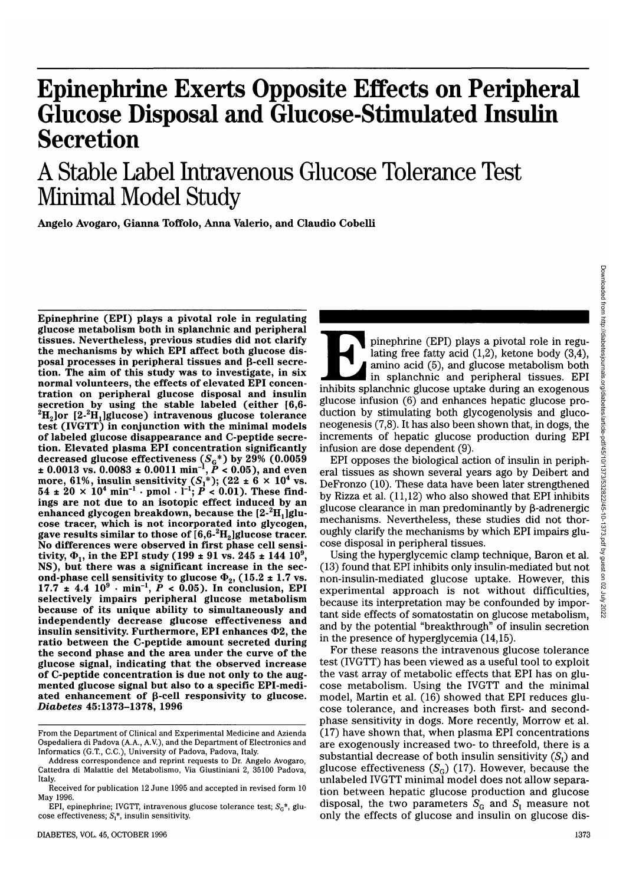# **Epinephrine Exerts Opposite Effects on Peripheral Glucose Disposal and Glucose-Stimulated Insulin Secretion**

# A Stable Label Intravenous Glucose Tolerance Test Minimal Model Study

**Angelo Avogaro, Gianna Toffolo, Anna Valerio, and Claudio Cobelli**

**Epinephrine (EPI) plays a pivotal role in regulating glucose metabolism both in splanchnic and peripheral tissues. Nevertheless, previous studies did not clarify posal processes in peripheral tissues and β-cell secretion. The aim of this study was to investigate, in six normal volunteers, the effects of elevated EPI concen- tration on peripheral glucose disposal and insulin secretion by using the stable labeled (either [6,6- <sup>2</sup> H2]or [2-2 H1]glucose) intravenous glucose tolerance test (IVGTT) in conjunction with the minimal models of labeled glucose disappearance and C-peptide secre- tion. Elevated plasma EPI concentration significantly** decreased glucose effectiveness  $(S_{G}^{\;\ast})$  by  $29\%$   $(0.0059)$  $\pm 0.0013$  vs. 0.0083  $\pm 0.0011$  min<sup>-1</sup>,  $\vec{P}$  < 0.05), and even more, 61%, insulin sensitivity  $(S_1^*)$ ;  $(22 \pm 6 \times 10^4 \text{ vs.} 54 \pm 20 \times 10^4 \text{ min}^{-1} \cdot \text{pmol} \cdot 1^{-1}; P < 0.01)$ . These findings are not due to an isotopic effect induced by an ings are not due to an isotopic effect induced by an enhanced glycogen breakdown, because the  $[2^{-2}H, \text{g}]$ **H1]glu- consected glycogen breakdown, because the**  $[2\cdot{}^{2}H_{1}]$ **glu-<br>cose tracer, which is not incorporated into glycogen,<br>gave results similar to those of [6,6-<sup>2</sup>H<sub>2</sub>]glucose tracer. Hence the similar to those of**  $[6,6^2H_2]$  **glucose tracer.**<br>No differences were observed in first phase cell sensi-<br>tivity,  $\Phi_1$ , in the EPI study (199 ± 91 vs. 245 ± 144 10<sup>9</sup>, tivity,  $\Phi_1$ , in the EPI study (199  $\pm$  91 vs. 245  $\pm$  144 10<sup>9</sup>,<br>NS), but there was a significant increase in the sec-<br>ond-phase cell sensitivity to glucose  $\Phi_2$ , (15.2  $\pm$  1.7 vs.<br>17.7  $\pm$  4.4 10<sup>9</sup> · min<sup>-1</sup>, **selectively impairs peripheral glucose metabolism because of its unique ability to simultaneously and independently decrease glucose effectiveness and insulin sensitivity. Furthermore, EPI enhances O2, the ratio between the C-peptide amount secreted during the second phase and the area under the curve of the glucose signal, indicating that the observed increase of C-peptide concentration is due not only to the aug- mented glucose signal but also to a specific EPI-medi- ated enhancement of p-cell responsivity to glucose.** *Diabetes* **45:1373-1378, 1996**

pinephrine (EPI) plays a pivotal role in regulating free fatty acid (1,2), ketone body (3,4), amino acid (5), and glucose metabolism both in splanchnic and peripheral tissues. EPI inhibits splanchnic glucose uptake during lating free fatty acid (1,2), ketone body (3,4), amino acid (5), and glucose metabolism both in splanchnic and peripheral tissues. EPI glucose infusion (6) and enhances hepatic glucose production by stimulating both glycogenolysis and gluconeogenesis (7,8). It has also been shown that, in dogs, the increments of hepatic glucose production during EPI infusion are dose dependent (9).

EPI opposes the biological action of insulin in peripheral tissues as shown several years ago by Deibert and DeFronzo (10). These data have been later strengthened by Rizza et al. (11,12) who also showed that EPI inhibits glucose clearance in man predominantly by  $\beta$ -adrenergic mechanisms. Nevertheless, these studies did not thoroughly clarify the mechanisms by which EPI impairs glucose disposal in peripheral tissues.

Using the hyperglycemic clamp technique, Baron et al. (13) found that EPI inhibits only insulin-mediated but not non-insulin-mediated glucose uptake. However, this experimental approach is not without difficulties, because its interpretation may be confounded by important side effects of somatostatin on glucose metabolism, and by the potential "breakthrough" of insulin secretion in the presence of hyperglycemia (14,15).

For these reasons the intravenous glucose tolerance test (IVGTT) has been viewed as a useful tool to exploit the vast array of metabolic effects that EPI has on glucose metabolism. Using the IVGTT and the minimal model, Martin et al. (16) showed that EPI reduces glucose tolerance, and increases both first- and secondphase sensitivity in dogs. More recently, Morrow et al. (17) have shown that, when plasma EPI concentrations are exogenously increased two- to threefold, there is a substantial decrease of both insulin sensitivity  $(S_i)$  and glucose effectiveness  $(S_G)$  (17). However, because the unlabeled IVGTT minimal model does not allow separation between hepatic glucose production and glucose disposal, the two parameters  $S_G$  and  $S_I$  measure not only the effects of glucose and insulin on glucose dis-

From the Department of Clinical and Experimental Medicine and Azienda Ospedaliera di Padova (A.A., A.V.), and the Department of Electronics and Informatics (G.T., C.C.), University of Padova, Padova, Italy.

Address correspondence and reprint requests to Dr. Angelo Avogaro, Cattedra di Malattie del Metabolismo, Via Giustiniani 2, 35100 Padova, Italy.

Received for publication 12 June 1995 and accepted in revised form 10 May 1996.

EPI, epinephrine; IVGTT, intravenous glucose tolerance test; *SG\*,* glucose effectiveness;  $S_i^*$ , insulin sensitivity.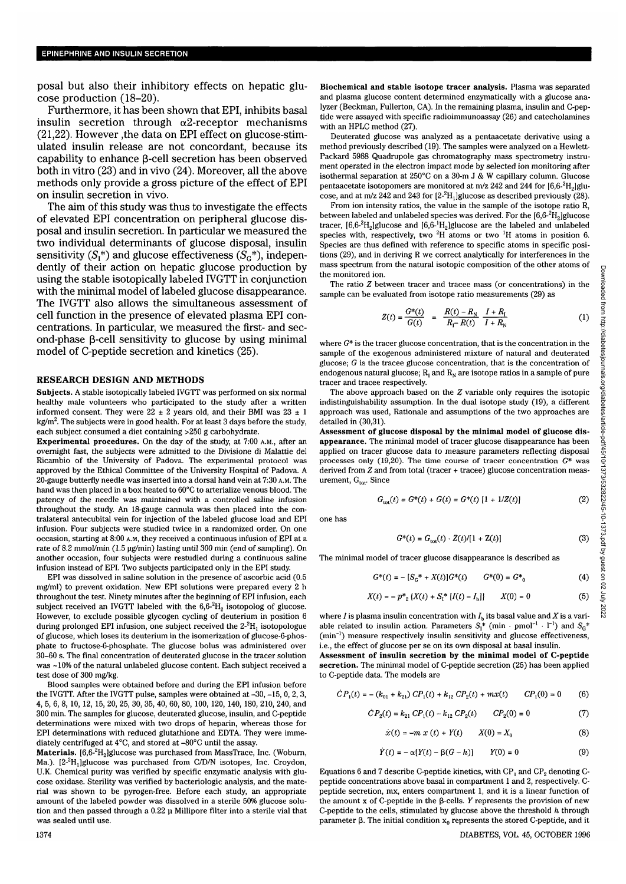posal but also their inhibitory effects on hepatic glucose production (18-20).

Furthermore, it has been shown that EPI, inhibits basal insulin secretion through  $\alpha$ 2-receptor mechanisms (21,22). However ,the data on EPI effect on glucose-stimulated insulin release are not concordant, because its capability to enhance  $\beta$ -cell secretion has been observed both in vitro (23) and in vivo (24). Moreover, all the above methods only provide a gross picture of the effect of EPI on insulin secretion in vivo.

The aim of this study was thus to investigate the effects of elevated EPI concentration on peripheral glucose disposal and insulin secretion. In particular we measured the two individual determinants of glucose disposal, insulin sensitivity  $(S_i^*)$  and glucose effectiveness  $(S_i^*)$ , independently of their action on hepatic glucose production by using the stable isotopically labeled IVGTT in conjunction with the minimal model of labeled glucose disappearance. The IVGTT also allows the simultaneous assessment of cell function in the presence of elevated plasma EPI concentrations. In particular, we measured the first- and second-phase 3-cell sensitivity to glucose by using minimal model of C-peptide secretion and kinetics (25).

#### **RESEARCH DESIGN AND METHODS**

**Subjects.** A stable isotopically labeled IVGTT was performed on six normal healthy male volunteers who participated to the study after a written informed consent. They were  $22 \pm 2$  years old, and their BMI was  $23 \pm 1$ kg/m $^2$ . The subjects were in good health. For at least 3 days before the study, each subject consumed a diet containing >250 g carbohydrate.

**Experimental procedures.** On the day of the study, at 7:00 A.M., after an overnight fast, the subjects were admitted to the Divisione di Malattie del Ricambio of the University of Padova. The experimental protocol was approved by the Ethical Committee of the University Hospital of Padova. A 20-gauge butterfly needle was inserted into a dorsal hand vein at 7:30 A.M. The hand was then placed in a box heated to 60°C to arterialize venous blood. The patency of the needle was maintained with a controlled saline infusion throughout the study. An 18-gauge cannula was then placed into the contralateral antecubital vein for injection of the labeled glucose load and EPI infusion. Four subjects were studied twice in a randomized order. On one occasion, starting at 8:00 A.M, they received a continuous infusion of EPI at a rate of 8.2 mmol/min (1.5 ug/min) lasting until 300 min (end of sampling). On another occasion, four subjects were restudied during a continuous saline infusion instead of EPI. Two subjects participated only in the EPI study.

EPI was dissolved in saline solution in the presence of ascorbic acid (0.5 mg/ml) to prevent oxidation. New EPI solutions were prepared every 2 h throughout the test. Ninety minutes after the beginning of EPI infusion, each subject received an IVGTT labeled with the  $6.6\scriptstyle\text{-}^2\text{H}_2$  isotopolog of glucose. However, to exclude possible glycogen cycling of deuterium in position 6 during prolonged EPI infusion, one subject received the  $2\text{-}^2\mathrm{H}_1$  isotopologue of glucose, which loses its deuterium in the isomerization of glucose-6-phosphate to fructose-6-phosphate. The glucose bolus was administered over 30-60 s. The final concentration of deuterated glucose in the tracer solution was ~10% of the natural unlabeled glucose content. Each subject received a test dose of 300 mg/kg.

Blood samples were obtained before and during the EPI infusion before the IVGTT. After the IVGTT pulse, samples were obtained at -30, -15, 0, 2, 3, 4, 5, 6, 8, 10, 12, 15, 20, 25, 30, 35, 40, 60, 80, 100, 120, 140, 180, 210, 240, and 300 min. The samples for glucose, deuterated glucose, insulin, and C-peptide determinations were mixed with two drops of heparin, whereas those for EPI determinations with reduced glutathione and EDTA. They were immediately centrifuged at 4°C, and stored at -80°C until the assay.

 $\textbf{Materials.} \; [6,\!6\!\cdot\!^2\!H_2]$ glucose was purchased from MassTrace, Inc. (Woburn, Ma.). [2<sup>2</sup>H<sub>1</sub>]glucose was purchased from C/D/N isotopes, Inc. Croydon, U.K. Chemical purity was verified by specific enzymatic analysis with glucose oxidase. Sterility was verified by bacteriologic analysis, and the material was shown to be pyrogen-free. Before each study, an appropriate amount of the labeled powder was dissolved in a sterile 50% glucose solution and then passed through a 0.22 u Millipore filter into a sterile vial that was sealed until use.

Deuterated glucose was analyzed as a pentaacetate derivative using a method previously described (19). The samples were analyzed on a Hewlett-Packard 5988 Quadrupole gas chromatography mass spectrometry instrument operated in the electron impact mode by selected ion monitoring after isothermal separation at 250°C on a 30-m J & W capillary column. Glucose pentaacetate isotopomers are monitored at m/z 242 and 244 for [6,6- $^2\mathrm{H}_2$ ]glucose, and at m/z 242 and 243 for  $[2\text{-}^2H_1]$ glucose as described previously (28).

From ion intensity ratios, the value in the sample of the isotope ratio R, between labeled and unlabeled species was derived. For the [6,6- $^2\mathrm{H}_2$ ]glucose tracer,  $[6,6^{-2}H_2]$ glucose and  $[6,6^{-1}H_2]$ glucose are the labeled and unlabeled species with, respectively, two  ${}^2H$  atoms or two  ${}^1H$  atoms in position 6. Species are thus defined with reference to specific atoms in specific positions (29), and in deriving R we correct analytically for interferences in the mass spectrum from the natural isotopic composition of the other atoms of the monitored ion.

The ratio *Z* between tracer and tracee mass (or concentrations) in the sample can be evaluated from isotope ratio measurements (29) as

$$
Z(t) = \frac{G^*(t)}{G(t)} = \frac{R(t) - R_N}{R_{\Gamma} - R(t)} \frac{I + R_1}{I + R_N}
$$
 (1)

where  $G^*$  is the tracer glucose concentration, that is the concentration in the sample of the exogenous administered mixture of natural and deuterated glucose; *G* is the tracee glucose concentration, that is the concentration of endogenous natural glucose;  $R_1$  and  $R_N$  are isotope ratios in a sample of pure tracer and tracee respectively.

The above approach based on the *Z* variable only requires the isotopic indistinguishability assumption. In the dual isotope study (19), a different approach was used, Rationale and assumptions of the two approaches are detailed in (30,31).

**Assessment of glucose disposal by the minimal model of glucose disappearance.** The minimal model of tracer glucose disappearance has been applied on tracer glucose data to measure parameters reflecting disposal processes only (19,20). The time course of tracer concentration  $G^*$  was derived from *Z* and from total (tracer + tracee) glucose concentration measurement, G<sub>tot</sub>. Since

$$
G_{\text{tot}}(t) = G^*(t) + G(t) = G^*(t) [1 + 1/Z(t)] \tag{2}
$$

one has

$$
G^*(t) = G_{\text{tot}}(t) \cdot Z(t) / [1 + Z(t)] \tag{3}
$$

The minimal model of tracer glucose disappearance is described as

$$
G^*(t) = -[S_G^* + X(t)]G^*(t) \qquad G^*(0) = G^*_{0}
$$
 (4)

$$
X(t) = -p*_{2} \{X(t) + S_{1}^{*} \{I(t) - I_{b}\}\} \qquad X(0) = 0
$$
 (5)

where *I* is plasma insulin concentration with  $I<sub>b</sub>$  its basal value and *X* is a variable related to insulin action. Parameters  $S_1^*$  (min  $\cdot$  pmol<sup>-1</sup>  $\cdot$  1<sup>-1</sup>) and  $S_G^*$ (min<sup>-1</sup>) measure respectively insulin sensitivity and glucose effectiveness, i.e., the effect of glucose per se on its own disposal at basal insulin.

**Assessment of insulin secretion by the minimal model of C-peptide secretion.** The minimal model of C-peptide secretion (25) has been applied to C-peptide data. The models are

$$
\dot{C}P_1(t) = -(k_{01} + k_{21}) \, C P_1(t) + k_{12} \, C P_2(t) + m x(t) \qquad C P_1(0) = 0 \qquad (6)
$$

$$
\dot{C}P_2(t) = k_{21} C P_1(t) - k_{12} C P_2(t) \qquad C P_2(0) = 0 \tag{7}
$$

$$
\dot{x}(t) = -m \; x \; (t) + Y(t) \qquad X(0) = X_0 \tag{8}
$$

$$
\dot{Y}(t) = -\alpha [Y(t) - \beta(G - h)] \qquad Y(0) = 0 \tag{9}
$$

Equations 6 and 7 describe C-peptide kinetics, with  $CP<sub>1</sub>$  and  $CP<sub>2</sub>$  denoting Cpeptide concentrations above basal in compartment 1 and 2, respectively. Cpeptide secretion, mx, enters compartment 1, and it is a linear function of the amount  $x$  of C-peptide in the  $\beta$ -cells. *Y* represents the provision of new C-peptide to the cells, stimulated by glucose above the threshold *h* through parameter  $\beta$ . The initial condition  $x_0$  represents the stored C-peptide, and it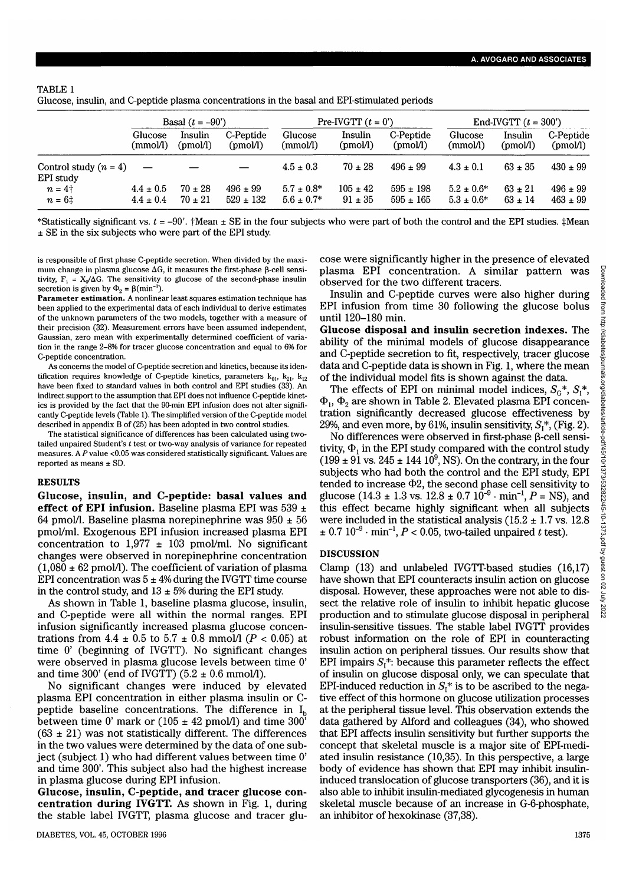# TABLE 1 Glucose, insulin, and C-peptide plasma concentrations in the basal and EPI-stimulated periods

|                                      | Basal $(t = -90^{\circ})$ |             |               | Pre-IVGTT $(t = 0)$ |              |               | End-IVGTT $(t = 300')$ |             |              |
|--------------------------------------|---------------------------|-------------|---------------|---------------------|--------------|---------------|------------------------|-------------|--------------|
|                                      | Glucose                   | Insulin     | C-Peptide     | Glucose             | Insulin      | C-Peptide     | Glucose                | Insulin     | C-Peptide    |
|                                      | (mmol/l)                  | (pmol)      | (pmol)        | (mmol/l)            | (pmol/l)     | (pmol)        | (mmol/l)               | (pmol)      | (pmol/l)     |
| Control study $(n = 4)$<br>EPI study |                           |             |               | $4.5 \pm 0.3$       | $70 \pm 28$  | $496 \pm 99$  | $4.3 \pm 0.1$          | $63 \pm 35$ | $430 \pm 99$ |
| $n = 4$ †                            | $4.4 \pm 0.5$             | $70 \pm 28$ | $496 \pm 99$  | $5.7 + 0.8*$        | $105 \pm 42$ | $595 \pm 198$ | $5.2 \pm 0.6^*$        | $63 \pm 21$ | $496 \pm 99$ |
| $n = 61$                             | $4.4 \pm 0.4$             | $70 \pm 21$ | $529 \pm 132$ | $5.6 \pm 0.7^*$     | $91 \pm 35$  | $595 \pm 165$ | $5.3 \pm 0.6*$         | $63 \pm 14$ | $463 \pm 99$ |

\*Statistically significant vs. *t =* -90'. fMean ± SE in the four subjects who were part of both the control and the EPI studies. ± SE in the six subjects who were part of the EPI study.

is responsible of first phase C-peptide secretion. When divided by the maximum change in plasma glucose  $\Delta G$ , it measures the first-phase B-cell sensitivity,  $F_1 = X_0/\Delta G$ . The sensitivity to glucose of the second-phase insulin secretion is given by  $\Phi_2 = \beta(\text{min}^{-1})$ .

**Parameter estimation.** A nonlinear least squares estimation technique has been applied to the experimental data of each individual to derive estimates of the unknown parameters of the two models, together with a measure of their precision (32). Measurement errors have been assumed independent, Gaussian, zero mean with experimentally determined coefficient of variation in the range 2-8% for tracer glucose concentration and equal to 6% for C-peptide concentration.

As concerns the model of C-peptide secretion and kinetics, because its identification requires knowledge of C-peptide kinetics, parameters  $k_{01}$ ,  $k_{21}$ ,  $k_{12}$ have been fixed to standard values in both control and EPI studies (33). An indirect support to the assumption that EPI does not influence C-peptide kinetics is provided by the fact that the 90-min EPI infusion does not alter significantly C-peptide levels (Table 1). The simplified version of the C-peptide model described in appendix B of (25) has been adopted in two control studies.

The statistical significance of differences has been calculated using twotailed unpaired Student's *t* test or two-way analysis of variance for repeated measures. A *P* value <0.05 was considered statistically significant. Values are reported as means ± SD.

### **RESULTS**

**Glucose, insulin, and C-peptide: basal values and effect of EPI infusion.** Baseline plasma EPI was 539 ± 64 pmol/l. Baseline plasma norepinephrine was  $950 \pm 56$ pmol/ml. Exogenous EPI infusion increased plasma EPI concentration to  $1,977 \pm 103$  pmol/ml. No significant changes were observed in norepinephrine concentration  $(1,080 \pm 62 \text{ pmol/l})$ . The coefficient of variation of plasma EPI concentration was  $5 \pm 4\%$  during the IVGTT time course in the control study, and  $13 \pm 5\%$  during the EPI study.

As shown in Table 1, baseline plasma glucose, insulin, and C-peptide were all within the normal ranges. EPI infusion significantly increased plasma glucose concentrations from  $4.4 \pm 0.5$  to  $5.7 \pm 0.8$  mmol/1 ( $P < 0.05$ ) at time 0' (beginning of IVGTT). No significant changes were observed in plasma glucose levels between time 0' and time 300' (end of IVGTT)  $(5.2 \pm 0.6 \text{ mmol/l})$ .

No significant changes were induced by elevated plasma EPI concentration in either plasma insulin or Cpeptide baseline concentrations. The difference in  $I<sub>b</sub>$ between time 0' mark or  $(105 \pm 42 \text{ pmol/l})$  and time 300'  $(63 \pm 21)$  was not statistically different. The differences in the two values were determined by the data of one subject (subject 1) who had different values between time 0' and time 300'. This subject also had the highest increase in plasma glucose during EPI infusion.

**Glucose, insulin, C-peptide, and tracer glucose concentration during IVGTT.** As shown in Fig. 1, during the stable label IVGTT, plasma glucose and tracer glucose were significantly higher in the presence of elevated plasma EPI concentration. A similar pattern was observed for the two different tracers.

Insulin and C-peptide curves were also higher during EPI infusion from time 30 following the glucose bolus until 120-180 min.

**Glucose disposal and insulin secretion indexes.** The ability of the minimal models of glucose disappearance and C-peptide secretion to fit, respectively, tracer glucose data and C-peptide data is shown in Fig. 1, where the mean of the individual model fits is shown against the data.

The effects of EPI on minimal model indices,  $S_c^*$ ,  $S_t^*$ ,  $\Phi_1$ ,  $\Phi_2$  are shown in Table 2. Elevated plasma EPI concentration significantly decreased glucose effectiveness by 29%, and even more, by 61%, insulin sensitivity,  $S_1^*$ , (Fig. 2).

No differences were observed in first-phase  $\beta$ -cell sensitivity,  $\Phi_1$  in the EPI study compared with the control study  $(199 \pm 91 \text{ vs. } 245 \pm 144 \cdot 10^9)$ , NS). On the contrary, in the four subjects who had both the control and the EPI study, EPI tended to increase  $\Phi$ 2, the second phase cell sensitivity to glucose  $(14.3 \pm 1.3 \text{ vs. } 12.8 \pm 0.7 \cdot 10^{-9} \cdot \text{min}^{-1}, P = \text{NS})$ , and this effect became highly significant when all subjects were included in the statistical analysis (15.2  $\pm$  1.7 vs. 12.8  $\pm$  0.7 10<sup>-9</sup> · min<sup>-1</sup>, *P* < 0.05, two-tailed unpaired *t* test).

## **DISCUSSION**

Clamp  $(13)$  and unlabeled IVGTT-based studies  $(16,17)$ have shown that EPI counteracts insulin action on glucose disposal. However, these approaches were not able to dis- sect the relative role of insulin to inhibit hepatic glucose production and to stimulate glucose disposal in peripheral insulin-sensitive tissues. The stable label IVGTT provides robust information on the role of EPI in counteracting insulin action on peripheral tissues. Our results show that EPI impairs  $S_i^*$ : because this parameter reflects the effect of insulin on glucose disposal only, we can speculate that EPI-induced reduction in  $S_i^*$  is to be ascribed to the negative effect of this hormone on glucose utilization processes at the peripheral tissue level. This observation extends the data gathered by Alford and colleagues (34), who showed that EPI affects insulin sensitivity but further supports the concept that skeletal muscle is a major site of EPI-medi- ated insulin resistance (10,35). In this perspective, a large body of evidence has shown that EPI may inhibit insulin- induced translocation of glucose transporters (36), and it is also able to inhibit insulin-mediated glycogenesis in human skeletal muscle because of an increase in G-6-phosphate, an inhibitor of hexokinase (37,38).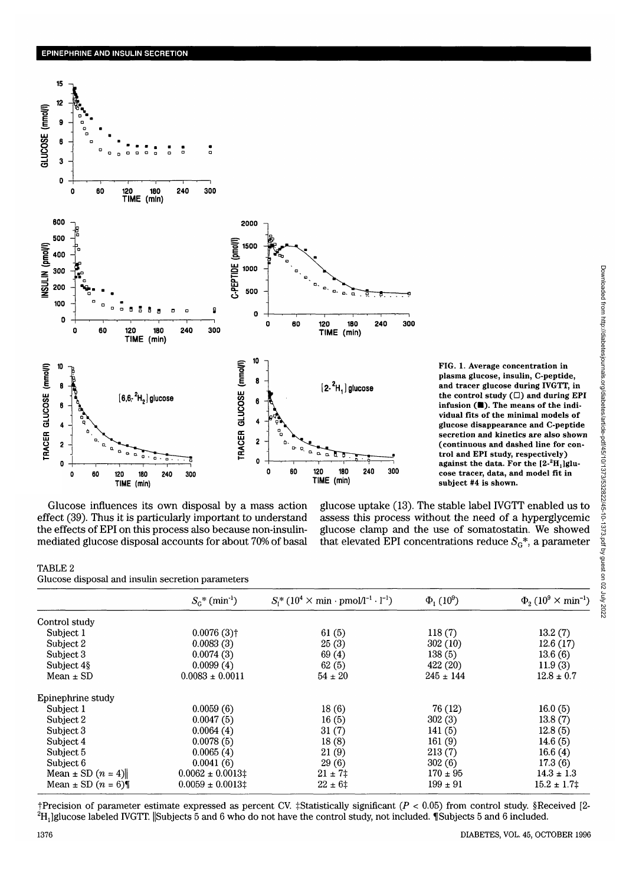

FIG. 1. Average concentration in plasma glucose, insulin, C-peptide, and tracer glucose during IVGTT, in the control study  $(\Box)$  and during EPI infusion (III). The means of the individual fits of the minimal models of glucose disappearance and C-peptide secretion and kinetics are also shown (continuous and dashed line for control and EPI study, respectively) against the data. For the  $[2 - 2H_1]$ glucose tracer, data, and model fit in subject #4 is shown.

Glucose influences its own disposal by a mass action effect (39). Thus it is particularly important to understand the effects of EPI on this process also because non-insulinmediated glucose disposal accounts for about 70% of basal

glucose uptake (13). The stable label IVGTT enabled us to assess this process without the need of a hyperglycemic glucose clamp and the use of somatostatin. We showed that elevated EPI concentrations reduce  $S_{G}^{*}$ , a parameter

#### TABLE 2

Glucose disposal and insulin secretion parameters

|                         | $S_c^*$ (min <sup>-1</sup> ) | $S_1^* (10^4 \times \text{min} \cdot \text{pmol}/l^{-1} \cdot l^{-1})$ | $\Phi_{1}(10^{9})$ | $\Phi_{2}$ (10 <sup>9</sup> $\times$ min <sup>-1</sup> ) |  |
|-------------------------|------------------------------|------------------------------------------------------------------------|--------------------|----------------------------------------------------------|--|
| Control study           |                              |                                                                        |                    |                                                          |  |
| Subject 1               | $0.0076(3)$ <sup>†</sup>     | 61(5)                                                                  | 118(7)             | 13.2(7)                                                  |  |
| Subject 2               | 0.0083(3)                    | 25(3)                                                                  | 302(10)            | 12.6(17)                                                 |  |
| Subject 3               | 0.0074(3)                    | 69(4)                                                                  | 138(5)             | 13.6(6)                                                  |  |
| Subject 4\§             | 0.0099(4)                    | 62(5)                                                                  | 422 (20)           | 11.9(3)                                                  |  |
| Mean $\pm$ SD           | $0.0083 \pm 0.0011$          | $54 \pm 20$                                                            | $245 \pm 144$      | $12.8 \pm 0.7$                                           |  |
| Epinephrine study       |                              |                                                                        |                    |                                                          |  |
| Subject 1               | 0.0059(6)                    | 18(6)                                                                  | 76 (12)            | 16.0(5)                                                  |  |
| Subject 2               | 0.0047(5)                    | 16(5)                                                                  | 302(3)             | 13.8(7)                                                  |  |
| Subject 3               | 0.0064(4)                    | 31(7)                                                                  | 141(5)             | 12.8(5)                                                  |  |
| Subject 4               | 0.0078(5)                    | 18(8)                                                                  | 161(9)             | 14.6(5)                                                  |  |
| Subject 5               | 0.0065(4)                    | 21(9)                                                                  | 213(7)             | 16.6(4)                                                  |  |
| Subject 6               | 0.0041(6)                    | 29(6)                                                                  | 302(6)             | 17.3(6)                                                  |  |
| Mean $\pm$ SD $(n = 4)$ | $0.0062 \pm 0.0013$ ‡        | $21 \pm 7$ $\pm$                                                       | $170 \pm 95$       | $14.3 \pm 1.3$                                           |  |
| Mean $\pm$ SD $(n = 6)$ | $0.0059 \pm 0.0013$ ‡        | $22 \pm 6^{\circ}$                                                     | $199 \pm 91$       | $15.2 \pm 1.7$ $\pm$                                     |  |

†Precision of parameter estimate expressed as percent CV. ‡Statistically significant ( $P < 0.05$ ) from control study. §Received [2- ${}^{2}H_{1}$ ]glucose labeled IVGTT. Subjects 5 and 6 who do not have the control study, not included. Subjects 5 and 6 included.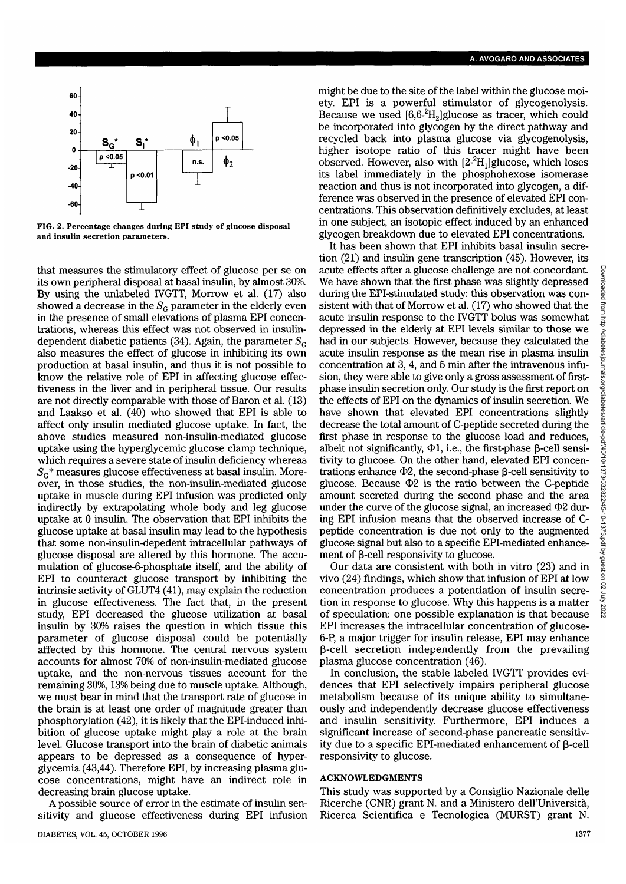

FIG. 2. Percentage changes during EPI study of glucose disposal and insulin secretion parameters.

that measures the stimulatory effect of glucose per se on its own peripheral disposal at basal insulin, by almost 30%. By using the unlabeled IVGTT, Morrow et al. (17) also showed a decrease in the  $S<sub>G</sub>$  parameter in the elderly even in the presence of small elevations of plasma EPI concentrations, whereas this effect was not observed in insulindependent diabetic patients (34). Again, the parameter  $S<sub>G</sub>$ also measures the effect of glucose in inhibiting its own production at basal insulin, and thus it is not possible to know the relative role of EPI in affecting glucose effectiveness in the liver and in peripheral tissue. Our results are not directly comparable with those of Baron et al. (13) and Laakso et al. (40) who showed that EPI is able to affect only insulin mediated glucose uptake. In fact, the above studies measured non-insulin-mediated glucose uptake using the hyperglycemic glucose clamp technique, which requires a severe state of insulin deficiency whereas *SG\** measures glucose effectiveness at basal insulin. Moreover, in those studies, the non-insulin-mediated glucose uptake in muscle during EPI infusion was predicted only indirectly by extrapolating whole body and leg glucose uptake at 0 insulin. The observation that EPI inhibits the glucose uptake at basal insulin may lead to the hypothesis that some non-insulin-depedent intracellular pathways of glucose disposal are altered by this hormone. The accumulation of glucose-6-phosphate itself, and the ability of EPI to counteract glucose transport by inhibiting the intrinsic activity of GLUT4 (41), may explain the reduction in glucose effectiveness. The fact that, in the present study, EPI decreased the glucose utilization at basal insulin by 30% raises the question in which tissue this parameter of glucose disposal could be potentially affected by this hormone. The central nervous system accounts for almost 70% of non-insulin-mediated glucose uptake, and the non-nervous tissues account for the remaining 30%, 13% being due to muscle uptake. Although, we must bear in mind that the transport rate of glucose in the brain is at least one order of magnitude greater than phosphorylation (42), it is likely that the EPI-induced inhibition of glucose uptake might play a role at the brain level. Glucose transport into the brain of diabetic animals appears to be depressed as a consequence of hyperglycemia (43,44). Therefore EPI, by increasing plasma glucose concentrations, might have an indirect role in decreasing brain glucose uptake.

A possible source of error in the estimate of insulin sensitivity and glucose effectiveness during EPI infusion

might be due to the site of the label within the glucose moiety. EPI is a powerful stimulator of glycogenolysis. Because we used  $[6,6^{-2}H_{2}]$ glucose as tracer, which could be incorporated into glycogen by the direct pathway and recycled back into plasma glucose via glycogenolysis, higher isotope ratio of this tracer might have been observed. However, also with  $[2<sup>2</sup>H<sub>1</sub>]$ glucose, which loses its label immediately in the phosphohexose isomerase reaction and thus is not incorporated into glycogen, a difference was observed in the presence of elevated EPI concentrations. This observation definitively excludes, at least in one subject, an isotopic effect induced by an enhanced glycogen breakdown due to elevated EPI concentrations.

It has been shown that EPI inhibits basal insulin secretion (21) and insulin gene transcription (45). However, its acute effects after a glucose challenge are not concordant. We have shown that the first phase was slightly depressed during the EPI-stimulated study: this observation was consistent with that of Morrow et al. (17) who showed that the acute insulin response to the IVGTT bolus was somewhat depressed in the elderly at EPI levels similar to those we had in our subjects. However, because they calculated the acute insulin response as the mean rise in plasma insulin concentration at 3, 4, and 5 min after the intravenous infusion, they were able to give only a gross assessment of firstphase insulin secretion only. Our study is the first report on the effects of EPI on the dynamics of insulin secretion. We have shown that elevated EPI concentrations slightly decrease the total amount of C-peptide secreted during the first phase in response to the glucose load and reduces, albeit not significantly,  $\Phi$ 1, i.e., the first-phase  $\beta$ -cell sensitivity to glucose. On the other hand, elevated EPI concentrations enhance  $\Phi$ 2, the second-phase  $\beta$ -cell sensitivity to glucose. Because  $\Phi$ 2 is the ratio between the C-peptide amount secreted during the second phase and the area under the curve of the glucose signal, an increased  $\Phi$ 2 during EPI infusion means that the observed increase of Cpeptide concentration is due not only to the augmented glucose signal but also to a specific EPI-mediated enhancement of  $\beta$ -cell responsivity to glucose.

Our data are consistent with both in vitro (23) and in vivo (24) findings, which show that infusion of EPI at low concentration produces a potentiation of insulin secretion in response to glucose. Why this happens is a matter of speculation: one possible explanation is that because EPI increases the intracellular concentration of glucose-6-P, a major trigger for insulin release, EPI may enhance  $\beta$ -cell secretion independently from the prevailing plasma glucose concentration (46).

In conclusion, the stable labeled IVGTT provides evidences that EPI selectively impairs peripheral glucose metabolism because of its unique ability to simultaneously and independently decrease glucose effectiveness and insulin sensitivity. Furthermore, EPI induces a significant increase of second-phase pancreatic sensitivity due to a specific EPI-mediated enhancement of  $\beta$ -cell responsivity to glucose.

### ACKNOWLEDGMENTS

This study was supported by a Consiglio Nazionale delle Ricerche (CNR) grant N. and a Ministero dell'Universita, Ricerca Scientifica e Tecnologica (MURST) grant N.